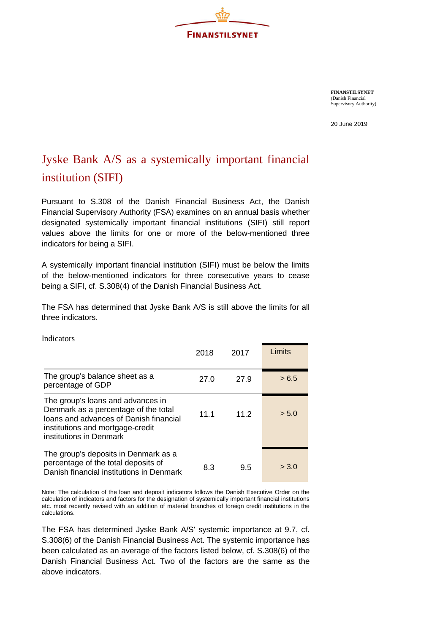

**FINANSTILSYNET** (Danish Financial Supervisory Authority)

20 June 2019

## Jyske Bank A/S as a systemically important financial institution (SIFI)

Pursuant to S.308 of the Danish Financial Business Act, the Danish Financial Supervisory Authority (FSA) examines on an annual basis whether designated systemically important financial institutions (SIFI) still report values above the limits for one or more of the below-mentioned three indicators for being a SIFI.

A systemically important financial institution (SIFI) must be below the limits of the below-mentioned indicators for three consecutive years to cease being a SIFI, cf. S.308(4) of the Danish Financial Business Act.

The FSA has determined that Jyske Bank A/S is still above the limits for all three indicators.

| <b>Indicators</b>                                                                                                                                                                  |      |      |        |
|------------------------------------------------------------------------------------------------------------------------------------------------------------------------------------|------|------|--------|
|                                                                                                                                                                                    | 2018 | 2017 | Limits |
| The group's balance sheet as a<br>percentage of GDP                                                                                                                                | 27.0 | 27.9 | > 6.5  |
| The group's loans and advances in<br>Denmark as a percentage of the total<br>Joans and advances of Danish financial<br>institutions and mortgage-credit<br>institutions in Denmark | 11.1 | 112  | > 5.0  |
| The group's deposits in Denmark as a<br>percentage of the total deposits of<br>Danish financial institutions in Denmark                                                            | 8.3  | 9.5  | > 3.0  |

Note: The calculation of the loan and deposit indicators follows the Danish Executive Order on the calculation of indicators and factors for the designation of systemically important financial institutions etc. most recently revised with an addition of material branches of foreign credit institutions in the calculations.

The FSA has determined Jyske Bank A/S' systemic importance at 9.7, cf. S.308(6) of the Danish Financial Business Act. The systemic importance has been calculated as an average of the factors listed below, cf. S.308(6) of the Danish Financial Business Act. Two of the factors are the same as the above indicators.